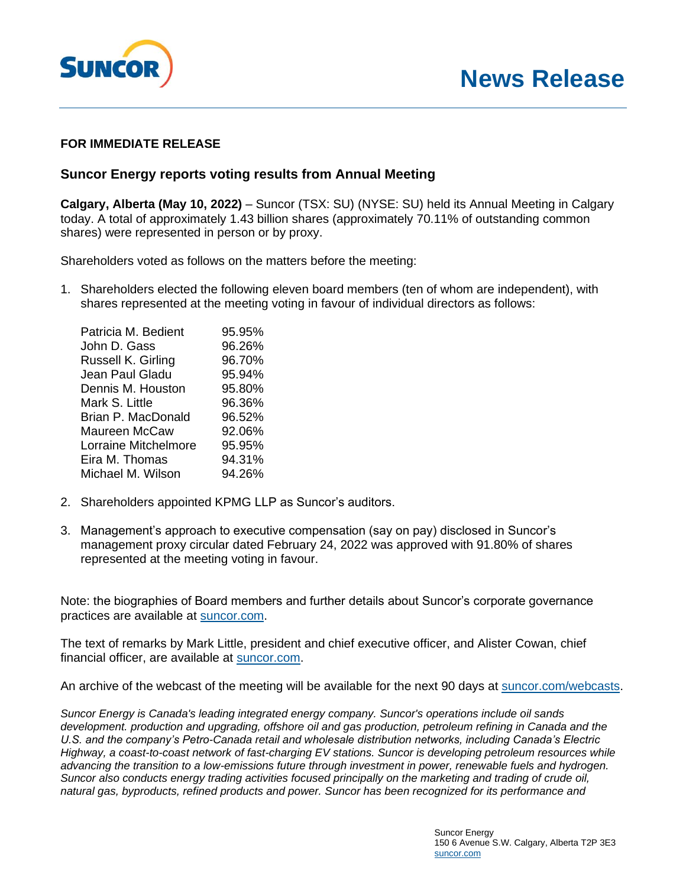

## **News Release**

## **FOR IMMEDIATE RELEASE**

## **Suncor Energy reports voting results from Annual Meeting**

**Calgary, Alberta (May 10, 2022)** – Suncor (TSX: SU) (NYSE: SU) held its Annual Meeting in Calgary today. A total of approximately 1.43 billion shares (approximately 70.11% of outstanding common shares) were represented in person or by proxy.

Shareholders voted as follows on the matters before the meeting:

1. Shareholders elected the following eleven board members (ten of whom are independent), with shares represented at the meeting voting in favour of individual directors as follows:

| 95.95% |
|--------|
| 96.26% |
| 96.70% |
| 95.94% |
| 95.80% |
| 96.36% |
| 96.52% |
| 92.06% |
| 95.95% |
| 94.31% |
| 94.26% |
|        |

- 2. Shareholders appointed KPMG LLP as Suncor's auditors.
- 3. Management's approach to executive compensation (say on pay) disclosed in Suncor's management proxy circular dated February 24, 2022 was approved with 91.80% of shares represented at the meeting voting in favour.

Note: the biographies of Board members and further details about Suncor's corporate governance practices are available at [suncor.com.](https://www.suncor.com/en-ca/who-we-are/governance/board-of-directors)

The text of remarks by Mark Little, president and chief executive officer, and Alister Cowan, chief financial officer, are available at [suncor.com.](https://www.suncor.com/en-ca/who-we-are/governance/leadership)

An archive of the webcast of the meeting will be available for the next 90 days at [suncor.com/webcasts.](http://www.suncor.com/webcasts)

*Suncor Energy is Canada's leading integrated energy company. Suncor's operations include oil sands development. production and upgrading, offshore oil and gas production, petroleum refining in Canada and the U.S. and the company's Petro-Canada retail and wholesale distribution networks, including Canada's Electric Highway, a coast-to-coast network of fast-charging EV stations. Suncor is developing petroleum resources while advancing the transition to a low-emissions future through investment in power, renewable fuels and hydrogen. Suncor also conducts energy trading activities focused principally on the marketing and trading of crude oil, natural gas, byproducts, refined products and power. Suncor has been recognized for its performance and*